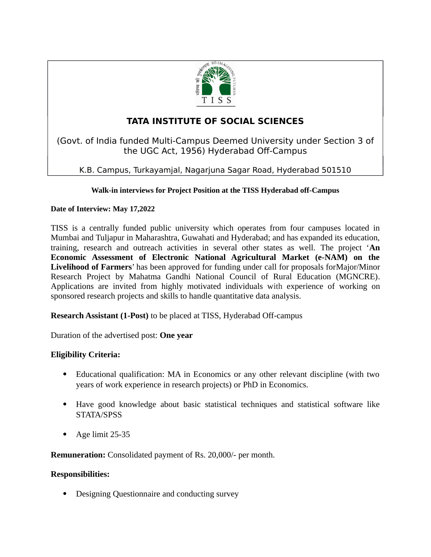

# **TATA INSTITUTE OF SOCIAL SCIENCES**

(Govt. of India funded Multi-Campus Deemed University under Section 3 of the UGC Act, 1956) Hyderabad Off-Campus

K.B. Campus, Turkayamjal, Nagarjuna Sagar Road, Hyderabad 501510

### **Walk-in interviews for Project Position at the TISS Hyderabad off-Campus**

### **Date of Interview: May 17,2022**

TISS is a centrally funded public university which operates from four campuses located in Mumbai and Tuljapur in Maharashtra, Guwahati and Hyderabad; and has expanded its education, training, research and outreach activities in several other states as well. The project '**An Economic Assessment of Electronic National Agricultural Market (e-NAM) on the Livelihood of Farmers**' has been approved for funding under call for proposals forMajor/Minor Research Project by Mahatma Gandhi National Council of Rural Education (MGNCRE). Applications are invited from highly motivated individuals with experience of working on sponsored research projects and skills to handle quantitative data analysis.

**Research Assistant (1-Post)** to be placed at TISS, Hyderabad Off-campus

Duration of the advertised post: **One year**

## **Eligibility Criteria:**

- Educational qualification: MA in Economics or any other relevant discipline (with two years of work experience in research projects) or PhD in Economics.
- Have good knowledge about basic statistical techniques and statistical software like STATA/SPSS
- Age limit 25-35

**Remuneration:** Consolidated payment of Rs. 20,000/- per month.

### **Responsibilities:**

Designing Questionnaire and conducting survey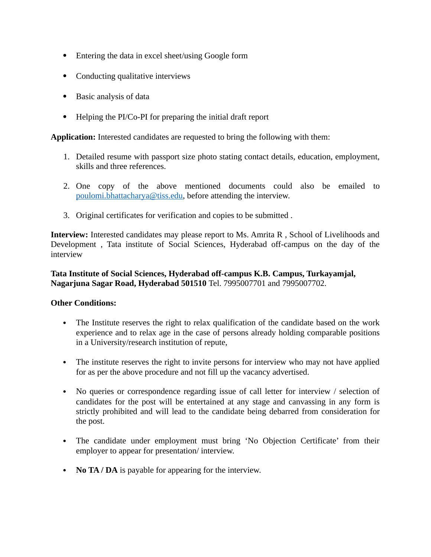- Entering the data in excel sheet/using Google form
- Conducting qualitative interviews
- Basic analysis of data
- Helping the PI/Co-PI for preparing the initial draft report

**Application:** Interested candidates are requested to bring the following with them:

- 1. Detailed resume with passport size photo stating contact details, education, employment, skills and three references.
- 2. One copy of the above mentioned documents could also be emailed to [poulomi.bhattacharya@tiss.edu,](mailto:poulomi.bhattacharya@tiss.edu) before attending the interview.
- 3. Original certificates for verification and copies to be submitted .

**Interview:** Interested candidates may please report to Ms. Amrita R , School of Livelihoods and Development , Tata institute of Social Sciences, Hyderabad off-campus on the day of the interview

**Tata Institute of Social Sciences, Hyderabad off-campus K.B. Campus, Turkayamjal, Nagarjuna Sagar Road, Hyderabad 501510** Tel. 7995007701 and 7995007702.

#### **Other Conditions:**

- The Institute reserves the right to relax qualification of the candidate based on the work experience and to relax age in the case of persons already holding comparable positions in a University/research institution of repute,
- The institute reserves the right to invite persons for interview who may not have applied for as per the above procedure and not fill up the vacancy advertised.
- No queries or correspondence regarding issue of call letter for interview / selection of candidates for the post will be entertained at any stage and canvassing in any form is strictly prohibited and will lead to the candidate being debarred from consideration for the post.
- The candidate under employment must bring 'No Objection Certificate' from their employer to appear for presentation/ interview.
- **No TA / DA** is payable for appearing for the interview.